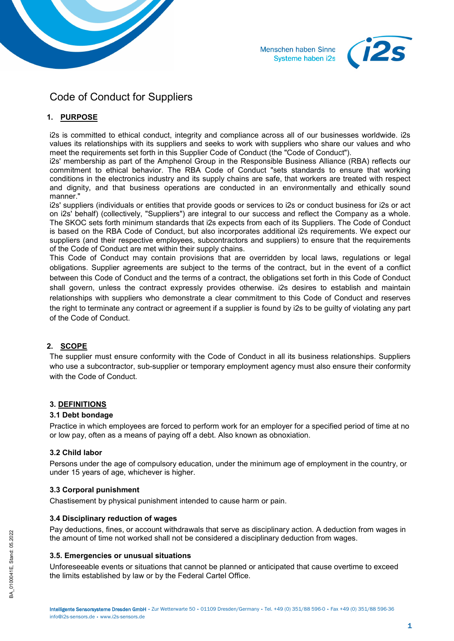



# Code of Conduct for Suppliers

# **1. PURPOSE**

i2s is committed to ethical conduct, integrity and compliance across all of our businesses worldwide. i2s values its relationships with its suppliers and seeks to work with suppliers who share our values and who meet the requirements set forth in this Supplier Code of Conduct (the "Code of Conduct").

i2s' membership as part of the Amphenol Group in the Responsible Business Alliance (RBA) reflects our commitment to ethical behavior. The RBA Code of Conduct "sets standards to ensure that working conditions in the electronics industry and its supply chains are safe, that workers are treated with respect and dignity, and that business operations are conducted in an environmentally and ethically sound manner."

i2s' suppliers (individuals or entities that provide goods or services to i2s or conduct business for i2s or act on i2s' behalf) (collectively, "Suppliers") are integral to our success and reflect the Company as a whole. The SKOC sets forth minimum standards that i2s expects from each of its Suppliers. The Code of Conduct is based on the RBA Code of Conduct, but also incorporates additional i2s requirements. We expect our suppliers (and their respective employees, subcontractors and suppliers) to ensure that the requirements of the Code of Conduct are met within their supply chains.

This Code of Conduct may contain provisions that are overridden by local laws, regulations or legal obligations. Supplier agreements are subject to the terms of the contract, but in the event of a conflict between this Code of Conduct and the terms of a contract, the obligations set forth in this Code of Conduct shall govern, unless the contract expressly provides otherwise. i2s desires to establish and maintain relationships with suppliers who demonstrate a clear commitment to this Code of Conduct and reserves the right to terminate any contract or agreement if a supplier is found by i2s to be guilty of violating any part of the Code of Conduct.

# **2. SCOPE**

The supplier must ensure conformity with the Code of Conduct in all its business relationships. Suppliers who use a subcontractor, sub-supplier or temporary employment agency must also ensure their conformity with the Code of Conduct.

# **3. DEFINITIONS**

# **3.1 Debt bondage**

Practice in which employees are forced to perform work for an employer for a specified period of time at no or low pay, often as a means of paying off a debt. Also known as obnoxiation.

# **3.2 Child labor**

Persons under the age of compulsory education, under the minimum age of employment in the country, or under 15 years of age, whichever is higher.

# **3.3 Corporal punishment**

Chastisement by physical punishment intended to cause harm or pain.

# **3.4 Disciplinary reduction of wages**

Pay deductions, fines, or account withdrawals that serve as disciplinary action. A deduction from wages in the amount of time not worked shall not be considered a disciplinary deduction from wages.

# **3.5. Emergencies or unusual situations**

Unforeseeable events or situations that cannot be planned or anticipated that cause overtime to exceed the limits established by law or by the Federal Cartel Office.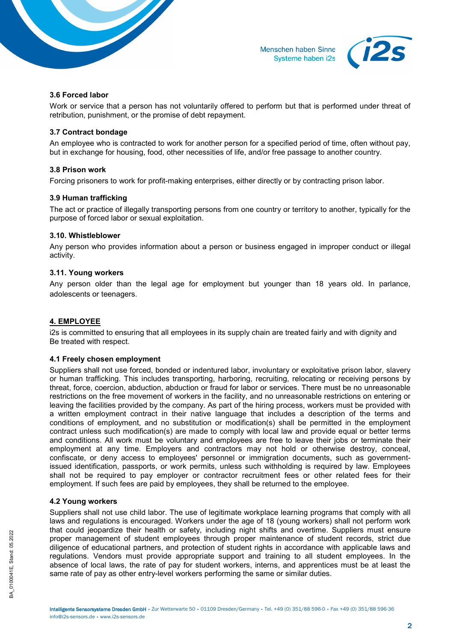



## **3.6 Forced labor**

Work or service that a person has not voluntarily offered to perform but that is performed under threat of retribution, punishment, or the promise of debt repayment.

## **3.7 Contract bondage**

An employee who is contracted to work for another person for a specified period of time, often without pay, but in exchange for housing, food, other necessities of life, and/or free passage to another country.

## **3.8 Prison work**

Forcing prisoners to work for profit-making enterprises, either directly or by contracting prison labor.

## **3.9 Human trafficking**

The act or practice of illegally transporting persons from one country or territory to another, typically for the purpose of forced labor or sexual exploitation.

#### **3.10. Whistleblower**

Any person who provides information about a person or business engaged in improper conduct or illegal activity.

## **3.11. Young workers**

Any person older than the legal age for employment but younger than 18 years old. In parlance, adolescents or teenagers.

# **4. EMPLOYEE**

i2s is committed to ensuring that all employees in its supply chain are treated fairly and with dignity and Be treated with respect.

# **4.1 Freely chosen employment**

Suppliers shall not use forced, bonded or indentured labor, involuntary or exploitative prison labor, slavery or human trafficking. This includes transporting, harboring, recruiting, relocating or receiving persons by threat, force, coercion, abduction, abduction or fraud for labor or services. There must be no unreasonable restrictions on the free movement of workers in the facility, and no unreasonable restrictions on entering or leaving the facilities provided by the company. As part of the hiring process, workers must be provided with a written employment contract in their native language that includes a description of the terms and conditions of employment, and no substitution or modification(s) shall be permitted in the employment contract unless such modification(s) are made to comply with local law and provide equal or better terms and conditions. All work must be voluntary and employees are free to leave their jobs or terminate their employment at any time. Employers and contractors may not hold or otherwise destroy, conceal, confiscate, or deny access to employees' personnel or immigration documents, such as governmentissued identification, passports, or work permits, unless such withholding is required by law. Employees shall not be required to pay employer or contractor recruitment fees or other related fees for their employment. If such fees are paid by employees, they shall be returned to the employee.

# **4.2 Young workers**

Suppliers shall not use child labor. The use of legitimate workplace learning programs that comply with all laws and regulations is encouraged. Workers under the age of 18 (young workers) shall not perform work that could jeopardize their health or safety, including night shifts and overtime. Suppliers must ensure proper management of student employees through proper maintenance of student records, strict due diligence of educational partners, and protection of student rights in accordance with applicable laws and regulations. Vendors must provide appropriate support and training to all student employees. In the absence of local laws, the rate of pay for student workers, interns, and apprentices must be at least the same rate of pay as other entry-level workers performing the same or similar duties.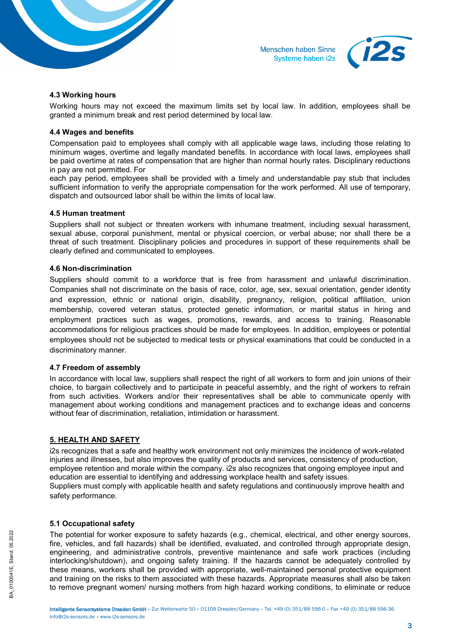



#### **4.3 Working hours**

Working hours may not exceed the maximum limits set by local law. In addition, employees shall be granted a minimum break and rest period determined by local law.

## **4.4 Wages and benefits**

Compensation paid to employees shall comply with all applicable wage laws, including those relating to minimum wages, overtime and legally mandated benefits. In accordance with local laws, employees shall be paid overtime at rates of compensation that are higher than normal hourly rates. Disciplinary reductions in pay are not permitted. For

each pay period, employees shall be provided with a timely and understandable pay stub that includes sufficient information to verify the appropriate compensation for the work performed. All use of temporary, dispatch and outsourced labor shall be within the limits of local law.

#### **4.5 Human treatment**

Suppliers shall not subject or threaten workers with inhumane treatment, including sexual harassment, sexual abuse, corporal punishment, mental or physical coercion, or verbal abuse; nor shall there be a threat of such treatment. Disciplinary policies and procedures in support of these requirements shall be clearly defined and communicated to employees.

#### **4.6 Non-discrimination**

Suppliers should commit to a workforce that is free from harassment and unlawful discrimination. Companies shall not discriminate on the basis of race, color, age, sex, sexual orientation, gender identity and expression, ethnic or national origin, disability, pregnancy, religion, political affiliation, union membership, covered veteran status, protected genetic information, or marital status in hiring and employment practices such as wages, promotions, rewards, and access to training. Reasonable accommodations for religious practices should be made for employees. In addition, employees or potential employees should not be subjected to medical tests or physical examinations that could be conducted in a discriminatory manner.

#### **4.7 Freedom of assembly**

In accordance with local law, suppliers shall respect the right of all workers to form and join unions of their choice, to bargain collectively and to participate in peaceful assembly, and the right of workers to refrain from such activities. Workers and/or their representatives shall be able to communicate openly with management about working conditions and management practices and to exchange ideas and concerns without fear of discrimination, retaliation, intimidation or harassment.

# **5. HEALTH AND SAFETY**

i2s recognizes that a safe and healthy work environment not only minimizes the incidence of work-related injuries and illnesses, but also improves the quality of products and services, consistency of production, employee retention and morale within the company. i2s also recognizes that ongoing employee input and education are essential to identifying and addressing workplace health and safety issues. Suppliers must comply with applicable health and safety regulations and continuously improve health and safety performance.

# **5.1 Occupational safety**

The potential for worker exposure to safety hazards (e.g., chemical, electrical, and other energy sources, fire, vehicles, and fall hazards) shall be identified, evaluated, and controlled through appropriate design, engineering, and administrative controls, preventive maintenance and safe work practices (including interlocking/shutdown), and ongoing safety training. If the hazards cannot be adequately controlled by these means, workers shall be provided with appropriate, well-maintained personal protective equipment and training on the risks to them associated with these hazards. Appropriate measures shall also be taken to remove pregnant women/ nursing mothers from high hazard working conditions, to eliminate or reduce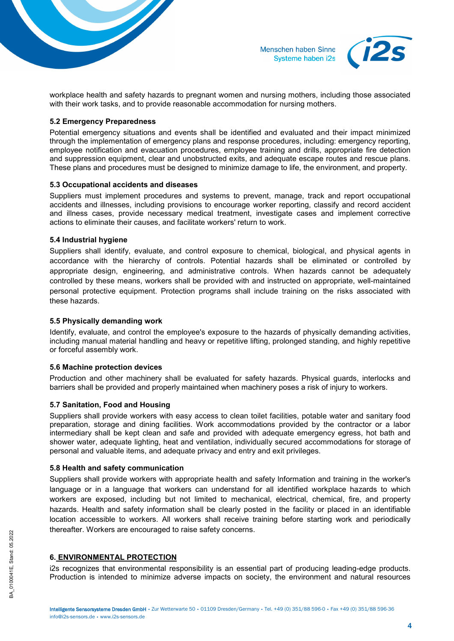

Menschen haben Sinne Systeme haben i2s



workplace health and safety hazards to pregnant women and nursing mothers, including those associated with their work tasks, and to provide reasonable accommodation for nursing mothers.

## **5.2 Emergency Preparedness**

Potential emergency situations and events shall be identified and evaluated and their impact minimized through the implementation of emergency plans and response procedures, including: emergency reporting, employee notification and evacuation procedures, employee training and drills, appropriate fire detection and suppression equipment, clear and unobstructed exits, and adequate escape routes and rescue plans. These plans and procedures must be designed to minimize damage to life, the environment, and property.

## **5.3 Occupational accidents and diseases**

Suppliers must implement procedures and systems to prevent, manage, track and report occupational accidents and illnesses, including provisions to encourage worker reporting, classify and record accident and illness cases, provide necessary medical treatment, investigate cases and implement corrective actions to eliminate their causes, and facilitate workers' return to work.

## **5.4 Industrial hygiene**

Suppliers shall identify, evaluate, and control exposure to chemical, biological, and physical agents in accordance with the hierarchy of controls. Potential hazards shall be eliminated or controlled by appropriate design, engineering, and administrative controls. When hazards cannot be adequately controlled by these means, workers shall be provided with and instructed on appropriate, well-maintained personal protective equipment. Protection programs shall include training on the risks associated with these hazards.

## **5.5 Physically demanding work**

Identify, evaluate, and control the employee's exposure to the hazards of physically demanding activities, including manual material handling and heavy or repetitive lifting, prolonged standing, and highly repetitive or forceful assembly work.

#### **5.6 Machine protection devices**

Production and other machinery shall be evaluated for safety hazards. Physical guards, interlocks and barriers shall be provided and properly maintained when machinery poses a risk of injury to workers.

# **5.7 Sanitation, Food and Housing**

Suppliers shall provide workers with easy access to clean toilet facilities, potable water and sanitary food preparation, storage and dining facilities. Work accommodations provided by the contractor or a labor intermediary shall be kept clean and safe and provided with adequate emergency egress, hot bath and shower water, adequate lighting, heat and ventilation, individually secured accommodations for storage of personal and valuable items, and adequate privacy and entry and exit privileges.

#### **5.8 Health and safety communication**

Suppliers shall provide workers with appropriate health and safety lnformation and training in the worker's language or in a language that workers can understand for all identified workplace hazards to which workers are exposed, including but not limited to mechanical, electrical, chemical, fire, and property hazards. Health and safety information shall be clearly posted in the facility or placed in an identifiable location accessible to workers. All workers shall receive training before starting work and periodically thereafter. Workers are encouraged to raise safety concerns.

# **6. ENVIRONMENTAL PROTECTION**

i2s recognizes that environmental responsibility is an essential part of producing leading-edge products. Production is intended to minimize adverse impacts on society, the environment and natural resources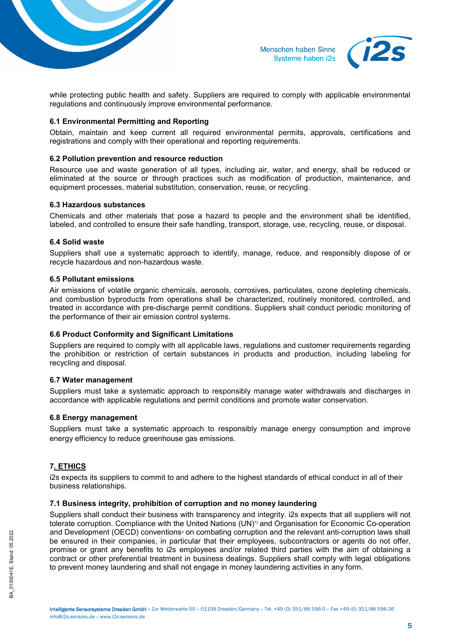

Menschen haben Sinne Systeme haben i2s



while protecting public health and safety. Suppliers are required to comply with applicable environmental regulations and continuously improve environmental performance.

# **6.1 Environmental Permitting and Reporting**

Obtain, maintain and keep current all required environmental permits, approvals, certifications and registrations and comply with their operational and reporting requirements.

## **6.2 Pollution prevention and resource reduction**

Resource use and waste generation of all types, including air, water, and energy, shall be reduced or eliminated at the source or through practices such as modification of production, maintenance, and equipment processes, material substitution, conservation, reuse, or recycling.

#### **6.3 Hazardous substances**

Chemicals and other materials that pose a hazard to people and the environment shall be identified, labeled, and controlled to ensure their safe handling, transport, storage, use, recycling, reuse, or disposal.

## **6.4 Solid waste**

Suppliers shall use a systematic approach to identify, manage, reduce, and responsibly dispose of or recycle hazardous and non-hazardous waste.

#### **6.5 Pollutant emissions**

Air emissions of volatile organic chemicals, aerosols, corrosives, particulates, ozone depleting chemicals, and combustion byproducts from operations shall be characterized, routinely monitored, controlled, and treated in accordance with pre-discharge permit conditions. Suppliers shall conduct periodic monitoring of the performance of their air emission control systems.

# **6.6 Product Conformity and Significant Limitations**

Suppliers are required to comply with all applicable laws, regulations and customer requirements regarding the prohibition or restriction of certain substances in products and production, including labeling for recycling and disposal.

#### **6.7 Water management**

Suppliers must take a systematic approach to responsibly manage water withdrawals and discharges in accordance with applicable regulations and permit conditions and promote water conservation.

# **6.8 Energy management**

Suppliers must take a systematic approach to responsibly manage energy consumption and improve energy efficiency to reduce greenhouse gas emissions.

# **7. ETHICS**

i2s expects its suppliers to commit to and adhere to the highest standards of ethical conduct in all of their business relationships.

# **7.1 Business integrity, prohibition of corruption and no money laundering**

Suppliers shall conduct their business with transparency and integrity. i2s expects that all suppliers will not tolerate corruption. Compliance with the United Nations (UN)1) and Organisation for Economic Co-operation and Development (OECD) conventions<sup>3</sup> on combating corruption and the relevant anti-corruption laws shall be ensured in their companies, in particular that their employees, subcontractors or agents do not offer, promise or grant any benefits to i2s employees and/or related third parties with the aim of obtaining a contract or other preferential treatment in business dealings. Suppliers shall comply with legal obligations to prevent money laundering and shall not engage in money laundering activities in any form.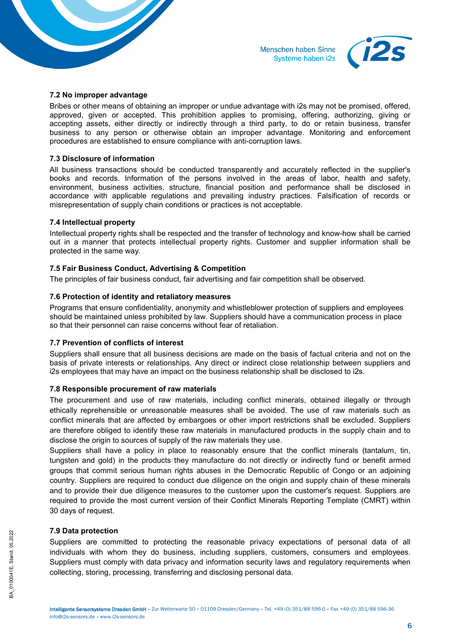



#### **7.2 No improper advantage**

Bribes or other means of obtaining an improper or undue advantage with i2s may not be promised, offered, approved, given or accepted. This prohibition applies to promising, offering, authorizing, giving or accepting assets, either directly or indirectly through a third party, to do or retain business, transfer business to any person or otherwise obtain an improper advantage. Monitoring and enforcement procedures are established to ensure compliance with anti-corruption laws.

## **7.3 Disclosure of information**

All business transactions should be conducted transparently and accurately reflected in the supplier's books and records. Information of the persons involved in the areas of labor, health and safety, environment, business activities, structure, financial position and performance shall be disclosed in accordance with applicable regulations and prevailing industry practices. Falsification of records or misrepresentation of supply chain conditions or practices is not acceptable.

## **7.4 Intellectual property**

Intellectual property rights shall be respected and the transfer of technology and know-how shall be carried out in a manner that protects intellectual property rights. Customer and supplier information shall be protected in the same way.

## **7.5 Fair Business Conduct, Advertising & Competition**

The principles of fair business conduct, fair advertising and fair competition shall be observed.

## **7.6 Protection of identity and retaliatory measures**

Programs that ensure confidentiality, anonymity and whistleblower protection of suppliers and employees should be maintained unless prohibited by law. Suppliers should have a communication process in place so that their personnel can raise concerns without fear of retaliation.

# **7.7 Prevention of conflicts of interest**

Suppliers shall ensure that all business decisions are made on the basis of factual criteria and not on the basis of private interests or relationships. Any direct or indirect close relationship between suppliers and i2s employees that may have an impact on the business relationship shall be disclosed to i2s.

#### **7.8 Responsible procurement of raw materials**

The procurement and use of raw materials, including conflict minerals, obtained illegally or through ethically reprehensible or unreasonable measures shall be avoided. The use of raw materials such as conflict minerals that are affected by embargoes or other import restrictions shall be excluded. Suppliers are therefore obliged to identify these raw materials in manufactured products in the supply chain and to disclose the origin to sources of supply of the raw materials they use.

Suppliers shall have a policy in place to reasonably ensure that the conflict minerals (tantalum, tin, tungsten and gold) in the products they manufacture do not directly or indirectly fund or benefit armed groups that commit serious human rights abuses in the Democratic Republic of Congo or an adjoining country. Suppliers are required to conduct due diligence on the origin and supply chain of these minerals and to provide their due diligence measures to the customer upon the customer's request. Suppliers are required to provide the most current version of their Conflict Minerals Reporting Template (CMRT) within 30 days of request.

#### **7.9 Data protection**

Suppliers are committed to protecting the reasonable privacy expectations of personal data of all individuals with whom they do business, including suppliers, customers, consumers and employees. Suppliers must comply with data privacy and information security laws and regulatory requirements when collecting, storing, processing, transferring and disclosing personal data.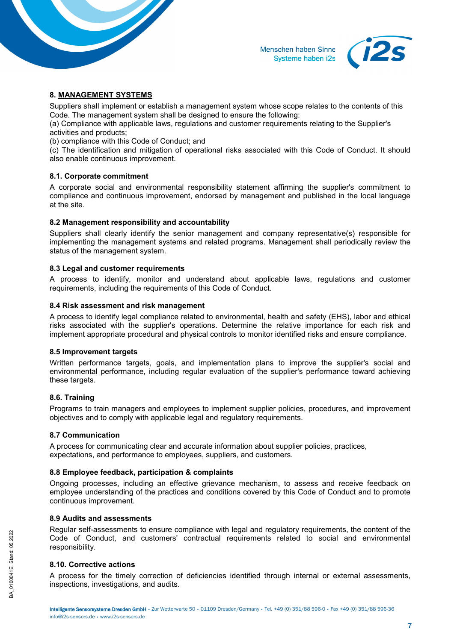



## **8. MANAGEMENT SYSTEMS**

Suppliers shall implement or establish a management system whose scope relates to the contents of this Code. The management system shall be designed to ensure the following:

(a) Compliance with applicable laws, regulations and customer requirements relating to the Supplier's activities and products;

(b) compliance with this Code of Conduct; and

(c) The identification and mitigation of operational risks associated with this Code of Conduct. It should also enable continuous improvement.

## **8.1. Corporate commitment**

A corporate social and environmental responsibility statement affirming the supplier's commitment to compliance and continuous improvement, endorsed by management and published in the local language at the site.

## **8.2 Management responsibility and accountability**

Suppliers shall clearly identify the senior management and company representative(s) responsible for implementing the management systems and related programs. Management shall periodically review the status of the management system.

#### **8.3 Legal and customer requirements**

A process to identify, monitor and understand about applicable laws, regulations and customer requirements, including the requirements of this Code of Conduct.

## **8.4 Risk assessment and risk management**

A process to identify legal compliance related to environmental, health and safety (EHS), labor and ethical risks associated with the supplier's operations. Determine the relative importance for each risk and implement appropriate procedural and physical controls to monitor identified risks and ensure compliance.

#### **8.5 Improvement targets**

Written performance targets, goals, and implementation plans to improve the supplier's social and environmental performance, including regular evaluation of the supplier's performance toward achieving these targets.

# **8.6. Training**

Programs to train managers and employees to implement supplier policies, procedures, and improvement objectives and to comply with applicable legal and regulatory requirements.

#### **8.7 Communication**

A process for communicating clear and accurate information about supplier policies, practices, expectations, and performance to employees, suppliers, and customers.

#### **8.8 Employee feedback, participation & complaints**

Ongoing processes, including an effective grievance mechanism, to assess and receive feedback on employee understanding of the practices and conditions covered by this Code of Conduct and to promote continuous improvement.

#### **8.9 Audits and assessments**

Regular self-assessments to ensure compliance with legal and regulatory requirements, the content of the Code of Conduct, and customers' contractual requirements related to social and environmental responsibility.

# **8.10. Corrective actions**

A process for the timely correction of deficiencies identified through internal or external assessments, inspections, investigations, and audits.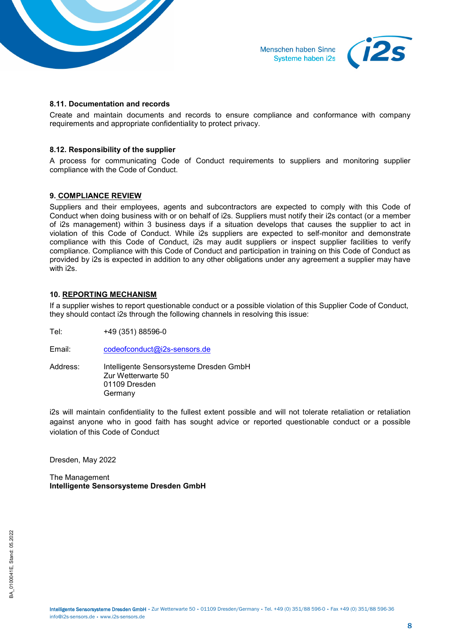



#### **8.11. Documentation and records**

Create and maintain documents and records to ensure compliance and conformance with company requirements and appropriate confidentiality to protect privacy.

## **8.12. Responsibility of the supplier**

A process for communicating Code of Conduct requirements to suppliers and monitoring supplier compliance with the Code of Conduct.

## **9. COMPLIANCE REVIEW**

Suppliers and their employees, agents and subcontractors are expected to comply with this Code of Conduct when doing business with or on behalf of i2s. Suppliers must notify their i2s contact (or a member of i2s management) within 3 business days if a situation develops that causes the supplier to act in violation of this Code of Conduct. While i2s suppliers are expected to self-monitor and demonstrate compliance with this Code of Conduct, i2s may audit suppliers or inspect supplier facilities to verify compliance. Compliance with this Code of Conduct and participation in training on this Code of Conduct as provided by i2s is expected in addition to any other obligations under any agreement a supplier may have with i2s.

## **10. REPORTING MECHANISM**

If a supplier wishes to report questionable conduct or a possible violation of this Supplier Code of Conduct, they should contact i2s through the following channels in resolving this issue:

- Tel: +49 (351) 88596-0
- Email: [codeofconduct@i2s-sensors.de](mailto:codeofconduct@i2s-sensors.de)
- Address: Intelligente Sensorsysteme Dresden GmbH Zur Wetterwarte 50 01109 Dresden Germany

i2s will maintain confidentiality to the fullest extent possible and will not tolerate retaliation or retaliation against anyone who in good faith has sought advice or reported questionable conduct or a possible violation of this Code of Conduct

Dresden, May 2022

The Management **Intelligente Sensorsysteme Dresden GmbH**